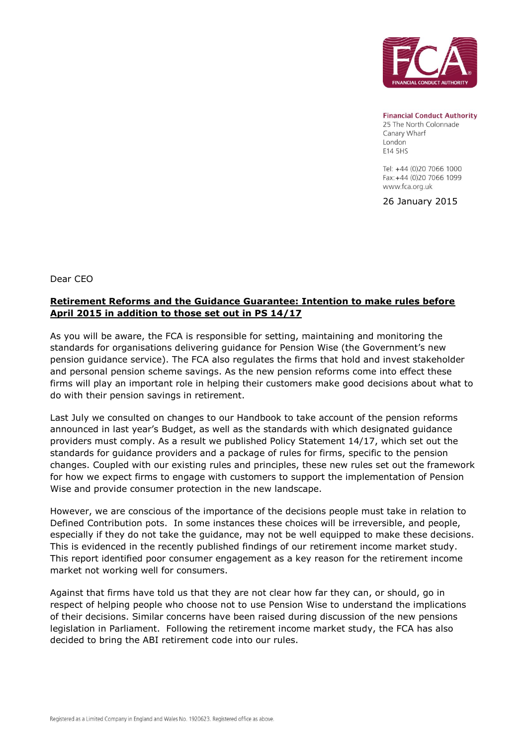

**Financial Conduct Authority** 

25 The North Colonnade Canary Wharf London E14 5HS

Tel: +44 (0)20 7066 1000 Fax: +44 (0)20 7066 1099 www.fca.org.uk

26 January 2015

Dear CEO

## **Retirement Reforms and the Guidance Guarantee: Intention to make rules before April 2015 in addition to those set out in PS 14/17**

As you will be aware, the FCA is responsible for setting, maintaining and monitoring the standards for organisations delivering guidance for Pension Wise (the Government's new pension guidance service). The FCA also regulates the firms that hold and invest stakeholder and personal pension scheme savings. As the new pension reforms come into effect these firms will play an important role in helping their customers make good decisions about what to do with their pension savings in retirement.

Last July we consulted on changes to our Handbook to take account of the pension reforms announced in last year's Budget, as well as the standards with which designated guidance providers must comply. As a result we published Policy Statement 14/17, which set out the standards for guidance providers and a package of rules for firms, specific to the pension changes. Coupled with our existing rules and principles, these new rules set out the framework for how we expect firms to engage with customers to support the implementation of Pension Wise and provide consumer protection in the new landscape.

However, we are conscious of the importance of the decisions people must take in relation to Defined Contribution pots. In some instances these choices will be irreversible, and people, especially if they do not take the guidance, may not be well equipped to make these decisions. This is evidenced in the recently published findings of our retirement income market study. This report identified poor consumer engagement as a key reason for the retirement income market not working well for consumers.

Against that firms have told us that they are not clear how far they can, or should, go in respect of helping people who choose not to use Pension Wise to understand the implications of their decisions. Similar concerns have been raised during discussion of the new pensions legislation in Parliament. Following the retirement income market study, the FCA has also decided to bring the ABI retirement code into our rules.